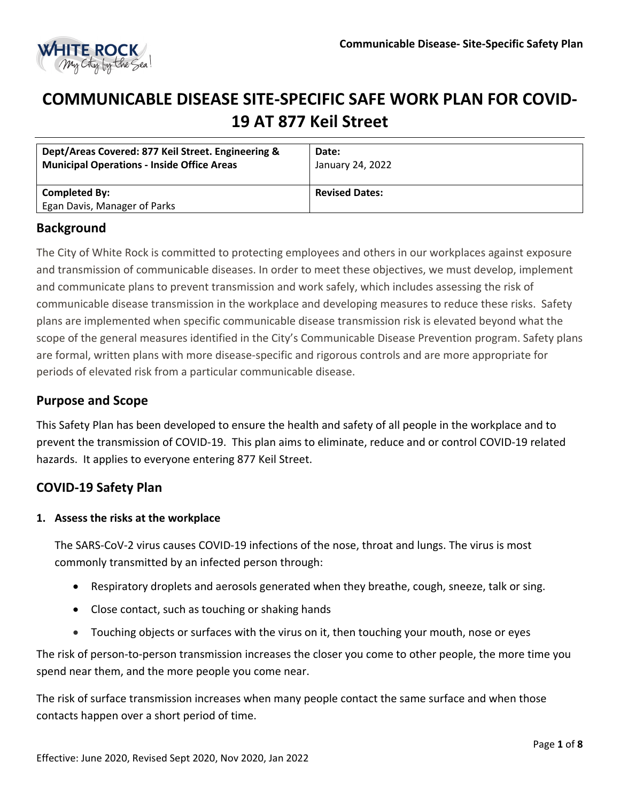

# **COMMUNICABLE DISEASE SITE-SPECIFIC SAFE WORK PLAN FOR COVID-19 AT 877 Keil Street**

| Dept/Areas Covered: 877 Keil Street. Engineering &<br><b>Municipal Operations - Inside Office Areas</b> | Date:<br>January 24, 2022 |
|---------------------------------------------------------------------------------------------------------|---------------------------|
| Completed By:                                                                                           | <b>Revised Dates:</b>     |
| Egan Davis, Manager of Parks                                                                            |                           |

# **Background**

The City of White Rock is committed to protecting employees and others in our workplaces against exposure and transmission of communicable diseases. In order to meet these objectives, we must develop, implement and communicate plans to prevent transmission and work safely, which includes assessing the risk of communicable disease transmission in the workplace and developing measures to reduce these risks. Safety plans are implemented when specific communicable disease transmission risk is elevated beyond what the scope of the general measures identified in the City's Communicable Disease Prevention program. Safety plans are formal, written plans with more disease-specific and rigorous controls and are more appropriate for periods of elevated risk from a particular communicable disease.

# **Purpose and Scope**

This Safety Plan has been developed to ensure the health and safety of all people in the workplace and to prevent the transmission of COVID-19. This plan aims to eliminate, reduce and or control COVID-19 related hazards. It applies to everyone entering 877 Keil Street.

# **COVID-19 Safety Plan**

#### **1. Assess the risks at the workplace**

The SARS-CoV-2 virus causes COVID-19 infections of the nose, throat and lungs. The virus is most commonly transmitted by an infected person through:

- Respiratory droplets and aerosols generated when they breathe, cough, sneeze, talk or sing.
- Close contact, such as touching or shaking hands
- Touching objects or surfaces with the virus on it, then touching your mouth, nose or eyes

The risk of person-to-person transmission increases the closer you come to other people, the more time you spend near them, and the more people you come near.

The risk of surface transmission increases when many people contact the same surface and when those contacts happen over a short period of time.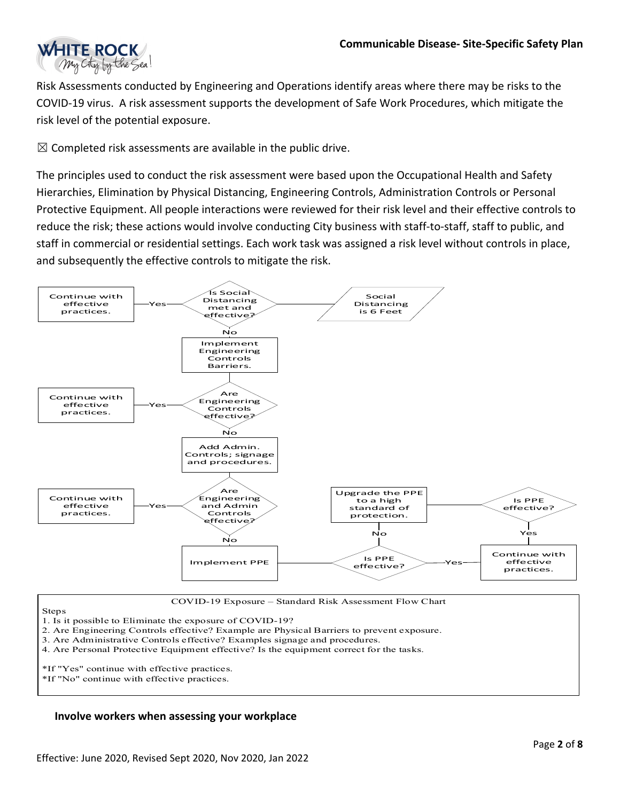

Risk Assessments conducted by Engineering and Operations identify areas where there may be risks to the COVID-19 virus. A risk assessment supports the development of Safe Work Procedures, which mitigate the risk level of the potential exposure.

 $\boxtimes$  Completed risk assessments are available in the public drive.

The principles used to conduct the risk assessment were based upon the Occupational Health and Safety Hierarchies, Elimination by Physical Distancing, Engineering Controls, Administration Controls or Personal Protective Equipment. All people interactions were reviewed for their risk level and their effective controls to reduce the risk; these actions would involve conducting City business with staff-to-staff, staff to public, and staff in commercial or residential settings. Each work task was assigned a risk level without controls in place, and subsequently the effective controls to mitigate the risk.



COVID-19 Exposure – Standard Risk Assessment Flow Chart

Steps

1. Is it possible to Eliminate the exposure of COVID-19?

- 2. Are Engineering Controls effective? Example are Physical Barriers to prevent exposure.
- 3. Are Administrative Controls effective? Examples signage and procedures.
- 4. Are Personal Protective Equipment effective? Is the equipment correct for the tasks.
- \*If "Yes" continue with effective practices.
- \*If "No" continue with effective practices.

#### **Involve workers when assessing your workplace**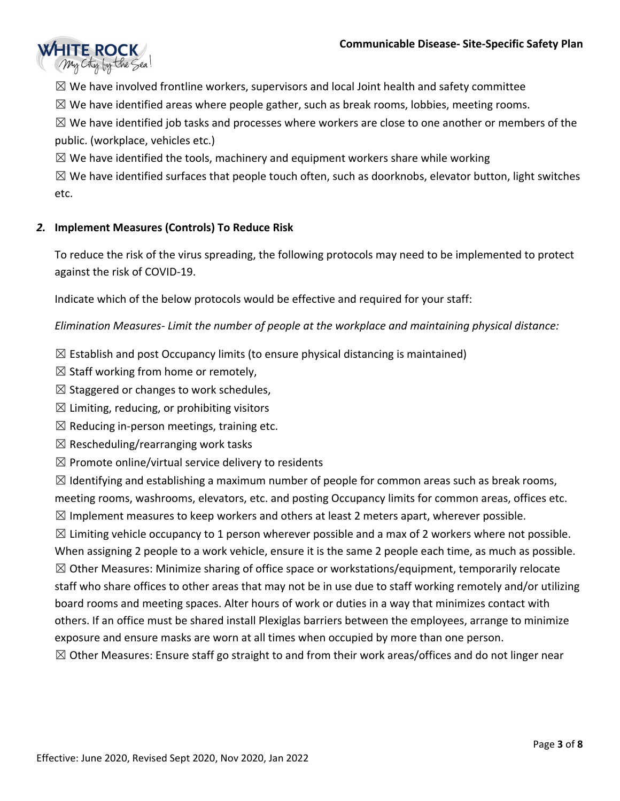

 $\boxtimes$  We have involved frontline workers, supervisors and local Joint health and safety committee

 $\boxtimes$  We have identified areas where people gather, such as break rooms, lobbies, meeting rooms.

 $\boxtimes$  We have identified job tasks and processes where workers are close to one another or members of the public. (workplace, vehicles etc.)

 $\boxtimes$  We have identified the tools, machinery and equipment workers share while working

 $\boxtimes$  We have identified surfaces that people touch often, such as doorknobs, elevator button, light switches etc.

## *2.* **Implement Measures (Controls) To Reduce Risk**

To reduce the risk of the virus spreading, the following protocols may need to be implemented to protect against the risk of COVID-19.

Indicate which of the below protocols would be effective and required for your staff:

*Elimination Measures- Limit the number of people at the workplace and maintaining physical distance:* 

- $\boxtimes$  Establish and post Occupancy limits (to ensure physical distancing is maintained)
- $\boxtimes$  Staff working from home or remotely,
- $\boxtimes$  Staggered or changes to work schedules,
- $\boxtimes$  Limiting, reducing, or prohibiting visitors
- $\boxtimes$  Reducing in-person meetings, training etc.
- $\boxtimes$  Rescheduling/rearranging work tasks
- $\boxtimes$  Promote online/virtual service delivery to residents

 $\boxtimes$  Identifying and establishing a maximum number of people for common areas such as break rooms, meeting rooms, washrooms, elevators, etc. and posting Occupancy limits for common areas, offices etc.  $\boxtimes$  Implement measures to keep workers and others at least 2 meters apart, wherever possible.

 $\boxtimes$  Limiting vehicle occupancy to 1 person wherever possible and a max of 2 workers where not possible. When assigning 2 people to a work vehicle, ensure it is the same 2 people each time, as much as possible.  $\boxtimes$  Other Measures: Minimize sharing of office space or workstations/equipment, temporarily relocate staff who share offices to other areas that may not be in use due to staff working remotely and/or utilizing board rooms and meeting spaces. Alter hours of work or duties in a way that minimizes contact with others. If an office must be shared install Plexiglas barriers between the employees, arrange to minimize exposure and ensure masks are worn at all times when occupied by more than one person.  $\boxtimes$  Other Measures: Ensure staff go straight to and from their work areas/offices and do not linger near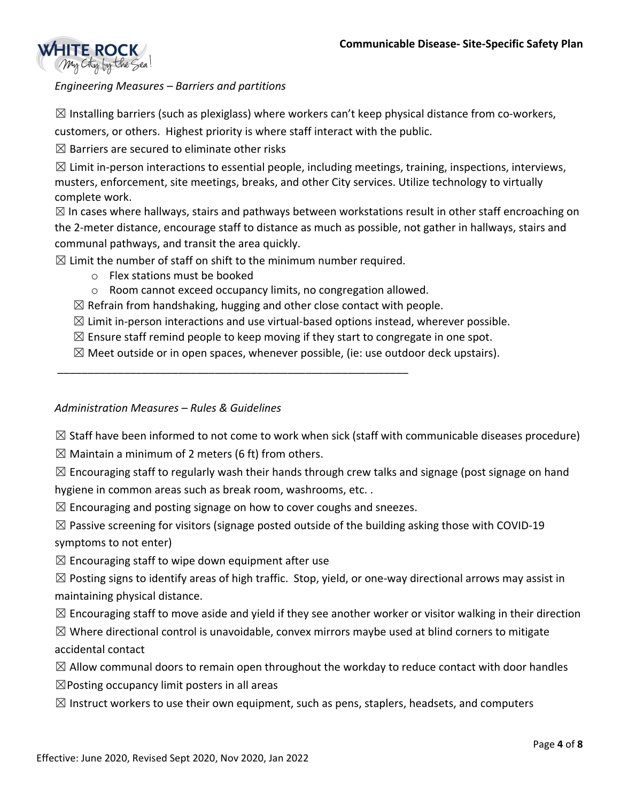

# *Engineering Measures – Barriers and partitions*

 $\boxtimes$  Installing barriers (such as plexiglass) where workers can't keep physical distance from co-workers, customers, or others. Highest priority is where staff interact with the public.

 $\boxtimes$  Barriers are secured to eliminate other risks

 $\boxtimes$  Limit in-person interactions to essential people, including meetings, training, inspections, interviews, musters, enforcement, site meetings, breaks, and other City services. Utilize technology to virtually complete work.

 $\boxtimes$  In cases where hallways, stairs and pathways between workstations result in other staff encroaching on the 2-meter distance, encourage staff to distance as much as possible, not gather in hallways, stairs and communal pathways, and transit the area quickly.

 $\boxtimes$  Limit the number of staff on shift to the minimum number required.

\_\_\_\_\_\_\_\_\_\_\_\_\_\_\_\_\_\_\_\_\_\_\_\_\_\_\_\_\_\_\_\_\_\_\_\_\_\_\_\_\_\_\_\_\_\_\_\_\_\_\_\_\_\_\_\_\_\_

- $\circ$  Flex stations must be booked
- o Room cannot exceed occupancy limits, no congregation allowed.
- $\boxtimes$  Refrain from handshaking, hugging and other close contact with people.
- $\boxtimes$  Limit in-person interactions and use virtual-based options instead, wherever possible.
- $\boxtimes$  Ensure staff remind people to keep moving if they start to congregate in one spot.
- $\boxtimes$  Meet outside or in open spaces, whenever possible, (ie: use outdoor deck upstairs).

#### *Administration Measures – Rules & Guidelines*

 $\boxtimes$  Staff have been informed to not come to work when sick (staff with communicable diseases procedure)

 $\boxtimes$  Maintain a minimum of 2 meters (6 ft) from others.

 $\boxtimes$  Encouraging staff to regularly wash their hands through crew talks and signage (post signage on hand hygiene in common areas such as break room, washrooms, etc. .

 $\boxtimes$  Encouraging and posting signage on how to cover coughs and sneezes.

 $\boxtimes$  Passive screening for visitors (signage posted outside of the building asking those with COVID-19 symptoms to not enter)

 $\boxtimes$  Encouraging staff to wipe down equipment after use

 $\boxtimes$  Posting signs to identify areas of high traffic. Stop, yield, or one-way directional arrows may assist in maintaining physical distance.

 $\boxtimes$  Encouraging staff to move aside and yield if they see another worker or visitor walking in their direction

 $\boxtimes$  Where directional control is unavoidable, convex mirrors maybe used at blind corners to mitigate accidental contact

- $\boxtimes$  Allow communal doors to remain open throughout the workday to reduce contact with door handles
- $\boxtimes$ Posting occupancy limit posters in all areas
- $\boxtimes$  Instruct workers to use their own equipment, such as pens, staplers, headsets, and computers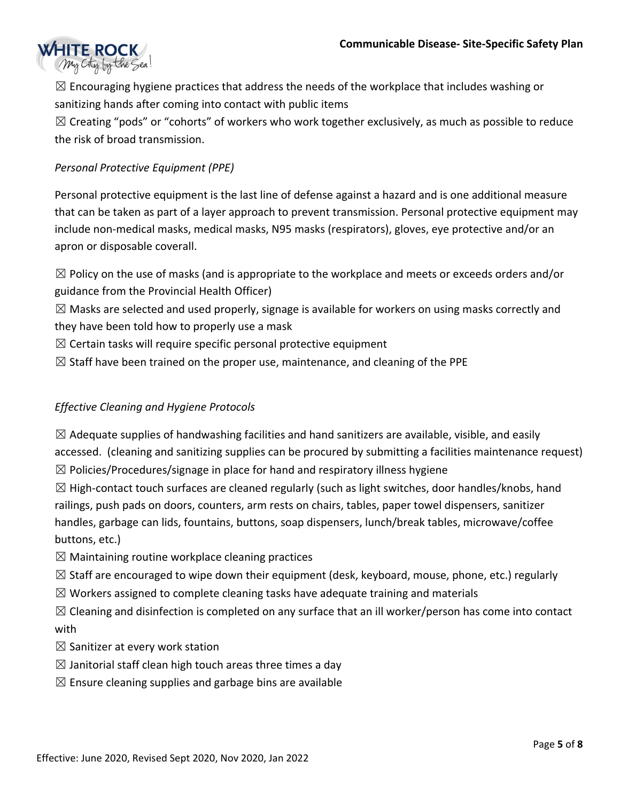

 $\boxtimes$  Encouraging hygiene practices that address the needs of the workplace that includes washing or sanitizing hands after coming into contact with public items

 $\boxtimes$  Creating "pods" or "cohorts" of workers who work together exclusively, as much as possible to reduce the risk of broad transmission.

# *Personal Protective Equipment (PPE)*

Personal protective equipment is the last line of defense against a hazard and is one additional measure that can be taken as part of a layer approach to prevent transmission. Personal protective equipment may include non-medical masks, medical masks, N95 masks (respirators), gloves, eye protective and/or an apron or disposable coverall.

 $\boxtimes$  Policy on the use of masks (and is appropriate to the workplace and meets or exceeds orders and/or guidance from the Provincial Health Officer)

 $\boxtimes$  Masks are selected and used properly, signage is available for workers on using masks correctly and they have been told how to properly use a mask

- $\boxtimes$  Certain tasks will require specific personal protective equipment
- $\boxtimes$  Staff have been trained on the proper use, maintenance, and cleaning of the PPE

### *Effective Cleaning and Hygiene Protocols*

 $\boxtimes$  Adequate supplies of handwashing facilities and hand sanitizers are available, visible, and easily accessed. (cleaning and sanitizing supplies can be procured by submitting a facilities maintenance request)  $\boxtimes$  Policies/Procedures/signage in place for hand and respiratory illness hygiene

 $\boxtimes$  High-contact touch surfaces are cleaned regularly (such as light switches, door handles/knobs, hand railings, push pads on doors, counters, arm rests on chairs, tables, paper towel dispensers, sanitizer handles, garbage can lids, fountains, buttons, soap dispensers, lunch/break tables, microwave/coffee buttons, etc.)

- $\boxtimes$  Maintaining routine workplace cleaning practices
- $\boxtimes$  Staff are encouraged to wipe down their equipment (desk, keyboard, mouse, phone, etc.) regularly
- $\boxtimes$  Workers assigned to complete cleaning tasks have adequate training and materials
- $\boxtimes$  Cleaning and disinfection is completed on any surface that an ill worker/person has come into contact with
- $\boxtimes$  Sanitizer at every work station
- $\boxtimes$  Janitorial staff clean high touch areas three times a day
- $\boxtimes$  Ensure cleaning supplies and garbage bins are available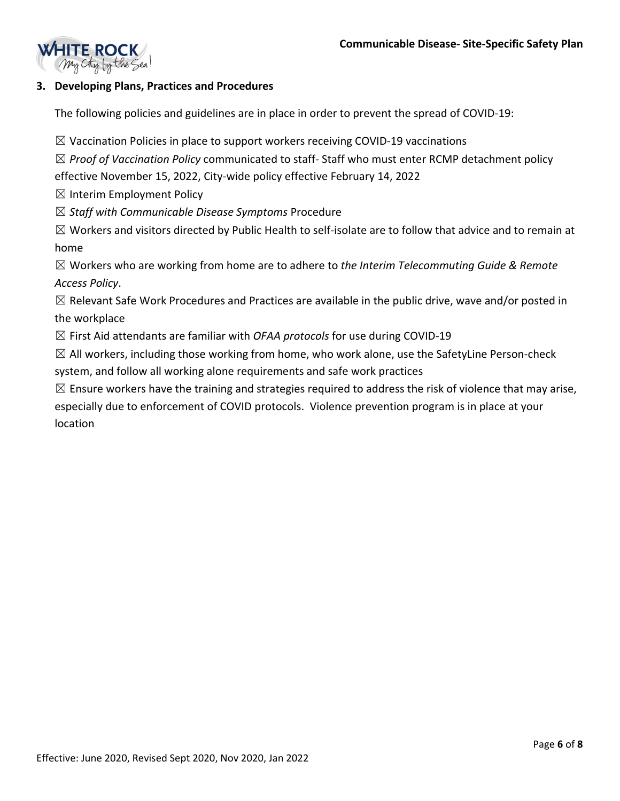

# **3. Developing Plans, Practices and Procedures**

The following policies and guidelines are in place in order to prevent the spread of COVID-19:

 $\boxtimes$  Vaccination Policies in place to support workers receiving COVID-19 vaccinations

☒ *Proof of Vaccination Policy* communicated to staff- Staff who must enter RCMP detachment policy effective November 15, 2022, City-wide policy effective February 14, 2022

 $\boxtimes$  Interim Employment Policy

☒ *Staff with Communicable Disease Symptoms* Procedure

 $\boxtimes$  Workers and visitors directed by Public Health to self-isolate are to follow that advice and to remain at home

☒ Workers who are working from home are to adhere to *the Interim Telecommuting Guide & Remote Access Policy*.

 $\boxtimes$  Relevant Safe Work Procedures and Practices are available in the public drive, wave and/or posted in the workplace

☒ First Aid attendants are familiar with *OFAA protocols* for use during COVID-19

 $\boxtimes$  All workers, including those working from home, who work alone, use the SafetyLine Person-check system, and follow all working alone requirements and safe work practices

 $\boxtimes$  Ensure workers have the training and strategies required to address the risk of violence that may arise, especially due to enforcement of COVID protocols. Violence prevention program is in place at your location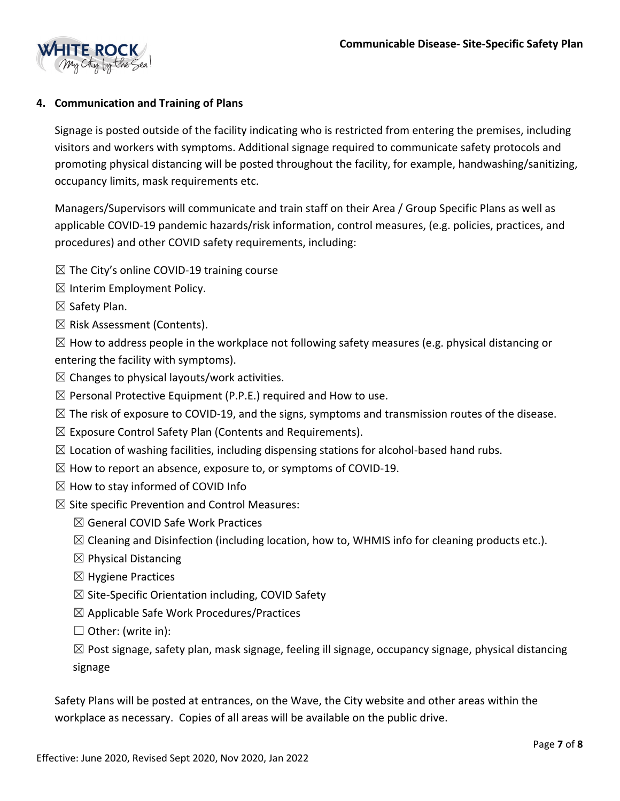

# **4. Communication and Training of Plans**

Signage is posted outside of the facility indicating who is restricted from entering the premises, including visitors and workers with symptoms. Additional signage required to communicate safety protocols and promoting physical distancing will be posted throughout the facility, for example, handwashing/sanitizing, occupancy limits, mask requirements etc.

Managers/Supervisors will communicate and train staff on their Area / Group Specific Plans as well as applicable COVID-19 pandemic hazards/risk information, control measures, (e.g. policies, practices, and procedures) and other COVID safety requirements, including:

- $\boxtimes$  The City's online COVID-19 training course
- $\boxtimes$  Interim Employment Policy.
- ☒ Safety Plan.
- ☒ Risk Assessment (Contents).

 $\boxtimes$  How to address people in the workplace not following safety measures (e.g. physical distancing or entering the facility with symptoms).

- $\boxtimes$  Changes to physical layouts/work activities.
- $\boxtimes$  Personal Protective Equipment (P.P.E.) required and How to use.
- $\boxtimes$  The risk of exposure to COVID-19, and the signs, symptoms and transmission routes of the disease.
- $\boxtimes$  Exposure Control Safety Plan (Contents and Requirements).
- $\boxtimes$  Location of washing facilities, including dispensing stations for alcohol-based hand rubs.
- $\boxtimes$  How to report an absence, exposure to, or symptoms of COVID-19.
- $\boxtimes$  How to stay informed of COVID Info
- $\boxtimes$  Site specific Prevention and Control Measures:
	- ☒ General COVID Safe Work Practices
	- $\boxtimes$  Cleaning and Disinfection (including location, how to, WHMIS info for cleaning products etc.).
	- $\boxtimes$  Physical Distancing
	- $\boxtimes$  Hygiene Practices
	- $\boxtimes$  Site-Specific Orientation including, COVID Safety
	- $\boxtimes$  Applicable Safe Work Procedures/Practices
	- ☐ Other: (write in):

 $\boxtimes$  Post signage, safety plan, mask signage, feeling ill signage, occupancy signage, physical distancing signage

Safety Plans will be posted at entrances, on the Wave, the City website and other areas within the workplace as necessary. Copies of all areas will be available on the public drive.